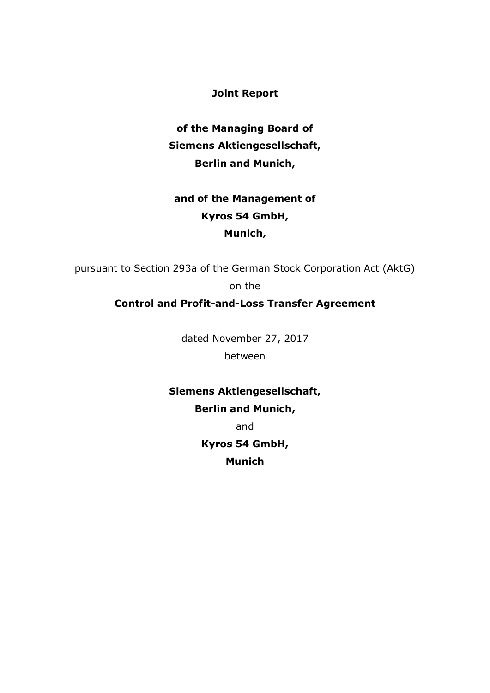**Joint Report**

**of the Managing Board of Siemens Aktiengesellschaft, Berlin and Munich,**

# **and of the Management of Kyros 54 GmbH, Munich,**

pursuant to Section 293a of the German Stock Corporation Act (AktG) on the

# **Control and Profit-and-Loss Transfer Agreement**

dated November 27, 2017

between

**Siemens Aktiengesellschaft, Berlin and Munich,**

and

**Kyros 54 GmbH,**

**Munich**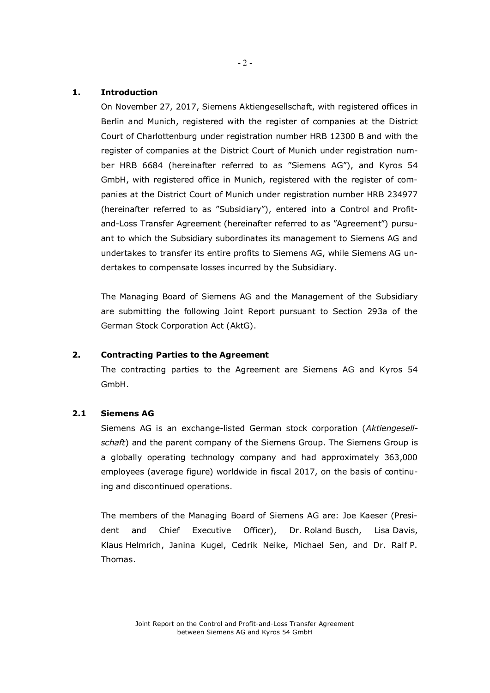#### **1. Introduction**

On November 27, 2017, Siemens Aktiengesellschaft, with registered offices in Berlin and Munich, registered with the register of companies at the District Court of Charlottenburg under registration number HRB 12300 B and with the register of companies at the District Court of Munich under registration number HRB 6684 (hereinafter referred to as "Siemens AG"), and Kyros 54 GmbH, with registered office in Munich, registered with the register of companies at the District Court of Munich under registration number HRB 234977 (hereinafter referred to as "Subsidiary"), entered into a Control and Profitand-Loss Transfer Agreement (hereinafter referred to as "Agreement") pursuant to which the Subsidiary subordinates its management to Siemens AG and undertakes to transfer its entire profits to Siemens AG, while Siemens AG undertakes to compensate losses incurred by the Subsidiary.

The Managing Board of Siemens AG and the Management of the Subsidiary are submitting the following Joint Report pursuant to Section 293a of the German Stock Corporation Act (AktG).

### **2. Contracting Parties to the Agreement**

The contracting parties to the Agreement are Siemens AG and Kyros 54 GmbH.

# **2.1 Siemens AG**

Siemens AG is an exchange-listed German stock corporation (*Aktiengesellschaft*) and the parent company of the Siemens Group. The Siemens Group is a globally operating technology company and had approximately 363,000 employees (average figure) worldwide in fiscal 2017, on the basis of continuing and discontinued operations.

The members of the Managing Board of Siemens AG are: Joe Kaeser (President and Chief Executive Officer), Dr. Roland Busch, Lisa Davis, Klaus Helmrich, Janina Kugel, Cedrik Neike, Michael Sen, and Dr. Ralf P. Thomas.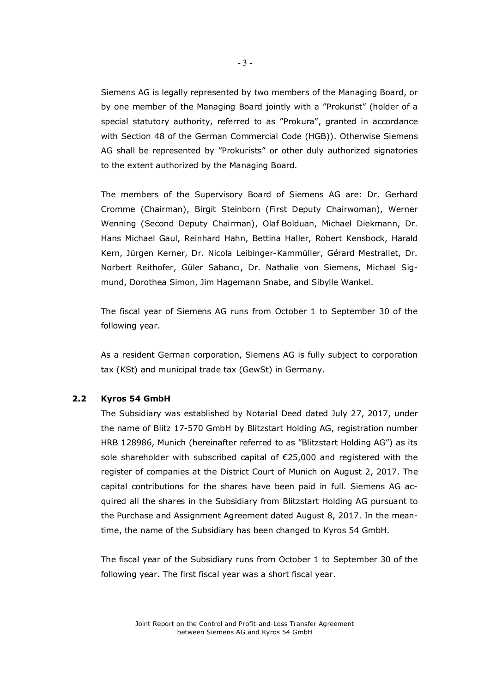Siemens AG is legally represented by two members of the Managing Board, or by one member of the Managing Board jointly with a "Prokurist" (holder of a special statutory authority, referred to as "Prokura", granted in accordance with Section 48 of the German Commercial Code (HGB)). Otherwise Siemens AG shall be represented by "Prokurists" or other duly authorized signatories to the extent authorized by the Managing Board.

The members of the Supervisory Board of Siemens AG are: Dr. Gerhard Cromme (Chairman), Birgit Steinborn (First Deputy Chairwoman), Werner Wenning (Second Deputy Chairman), Olaf Bolduan, Michael Diekmann, Dr. Hans Michael Gaul, Reinhard Hahn, Bettina Haller, Robert Kensbock, Harald Kern, Jürgen Kerner, Dr. Nicola Leibinger-Kammüller, Gérard Mestrallet, Dr. Norbert Reithofer, Güler Sabancı, Dr. Nathalie von Siemens, Michael Sigmund, Dorothea Simon, Jim Hagemann Snabe, and Sibylle Wankel.

The fiscal year of Siemens AG runs from October 1 to September 30 of the following year.

As a resident German corporation, Siemens AG is fully subject to corporation tax (KSt) and municipal trade tax (GewSt) in Germany.

#### **2.2 Kyros 54 GmbH**

The Subsidiary was established by Notarial Deed dated July 27, 2017, under the name of Blitz 17-570 GmbH by Blitzstart Holding AG, registration number HRB 128986, Munich (hereinafter referred to as "Blitzstart Holding AG") as its sole shareholder with subscribed capital of  $\epsilon$ 25,000 and registered with the register of companies at the District Court of Munich on August 2, 2017. The capital contributions for the shares have been paid in full. Siemens AG acquired all the shares in the Subsidiary from Blitzstart Holding AG pursuant to the Purchase and Assignment Agreement dated August 8, 2017. In the meantime, the name of the Subsidiary has been changed to Kyros 54 GmbH.

The fiscal year of the Subsidiary runs from October 1 to September 30 of the following year. The first fiscal year was a short fiscal year.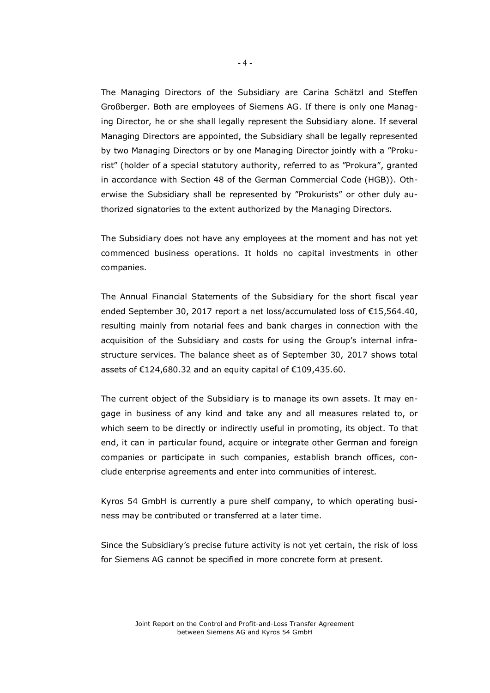The Managing Directors of the Subsidiary are Carina Schätzl and Steffen Großberger. Both are employees of Siemens AG. If there is only one Managing Director, he or she shall legally represent the Subsidiary alone. If several Managing Directors are appointed, the Subsidiary shall be legally represented by two Managing Directors or by one Managing Director jointly with a "Prokurist" (holder of a special statutory authority, referred to as "Prokura", granted in accordance with Section 48 of the German Commercial Code (HGB)). Otherwise the Subsidiary shall be represented by "Prokurists" or other duly authorized signatories to the extent authorized by the Managing Directors.

The Subsidiary does not have any employees at the moment and has not yet commenced business operations. It holds no capital investments in other companies.

The Annual Financial Statements of the Subsidiary for the short fiscal year ended September 30, 2017 report a net loss/accumulated loss of €15,564.40, resulting mainly from notarial fees and bank charges in connection with the acquisition of the Subsidiary and costs for using the Group's internal infrastructure services. The balance sheet as of September 30, 2017 shows total assets of €124,680.32 and an equity capital of €109,435.60.

The current object of the Subsidiary is to manage its own assets. It may engage in business of any kind and take any and all measures related to, or which seem to be directly or indirectly useful in promoting, its object. To that end, it can in particular found, acquire or integrate other German and foreign companies or participate in such companies, establish branch offices, conclude enterprise agreements and enter into communities of interest.

Kyros 54 GmbH is currently a pure shelf company, to which operating business may be contributed or transferred at a later time.

Since the Subsidiary's precise future activity is not yet certain, the risk of loss for Siemens AG cannot be specified in more concrete form at present.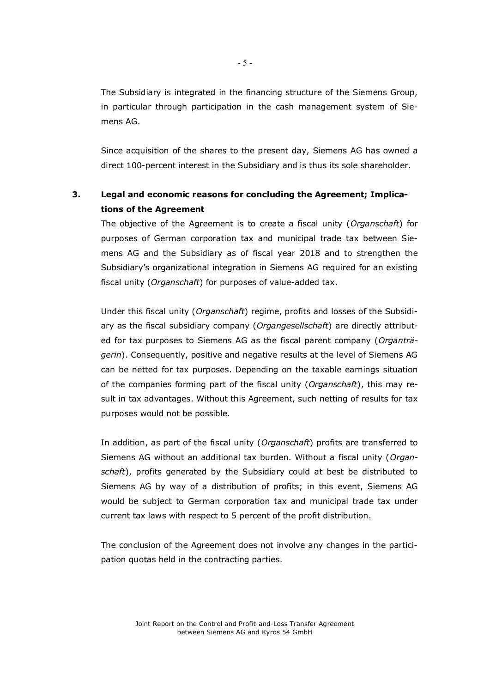The Subsidiary is integrated in the financing structure of the Siemens Group, in particular through participation in the cash management system of Siemens AG.

Since acquisition of the shares to the present day, Siemens AG has owned a direct 100-percent interest in the Subsidiary and is thus its sole shareholder.

# **3. Legal and economic reasons for concluding the Agreement; Implications of the Agreement**

The objective of the Agreement is to create a fiscal unity (*Organschaft*) for purposes of German corporation tax and municipal trade tax between Siemens AG and the Subsidiary as of fiscal year 2018 and to strengthen the Subsidiary's organizational integration in Siemens AG required for an existing fiscal unity (*Organschaft*) for purposes of value-added tax.

Under this fiscal unity (*Organschaft*) regime, profits and losses of the Subsidiary as the fiscal subsidiary company (*Organgesellschaft*) are directly attributed for tax purposes to Siemens AG as the fiscal parent company (*Organträgerin*). Consequently, positive and negative results at the level of Siemens AG can be netted for tax purposes. Depending on the taxable earnings situation of the companies forming part of the fiscal unity (*Organschaft*), this may result in tax advantages. Without this Agreement, such netting of results for tax purposes would not be possible.

In addition, as part of the fiscal unity (*Organschaft*) profits are transferred to Siemens AG without an additional tax burden. Without a fiscal unity (*Organschaft*), profits generated by the Subsidiary could at best be distributed to Siemens AG by way of a distribution of profits; in this event, Siemens AG would be subject to German corporation tax and municipal trade tax under current tax laws with respect to 5 percent of the profit distribution.

The conclusion of the Agreement does not involve any changes in the participation quotas held in the contracting parties.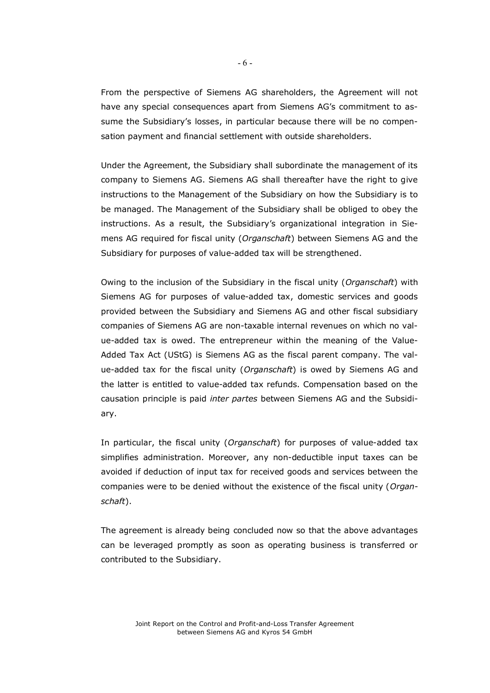From the perspective of Siemens AG shareholders, the Agreement will not have any special consequences apart from Siemens AG's commitment to assume the Subsidiary's losses, in particular because there will be no compensation payment and financial settlement with outside shareholders.

Under the Agreement, the Subsidiary shall subordinate the management of its company to Siemens AG. Siemens AG shall thereafter have the right to give instructions to the Management of the Subsidiary on how the Subsidiary is to be managed. The Management of the Subsidiary shall be obliged to obey the instructions. As a result, the Subsidiary's organizational integration in Siemens AG required for fiscal unity (*Organschaft*) between Siemens AG and the Subsidiary for purposes of value-added tax will be strengthened.

Owing to the inclusion of the Subsidiary in the fiscal unity (*Organschaft*) with Siemens AG for purposes of value-added tax, domestic services and goods provided between the Subsidiary and Siemens AG and other fiscal subsidiary companies of Siemens AG are non-taxable internal revenues on which no value-added tax is owed. The entrepreneur within the meaning of the Value-Added Tax Act (UStG) is Siemens AG as the fiscal parent company. The value-added tax for the fiscal unity (*Organschaft*) is owed by Siemens AG and the latter is entitled to value-added tax refunds. Compensation based on the causation principle is paid *inter partes* between Siemens AG and the Subsidiary.

In particular, the fiscal unity (*Organschaft*) for purposes of value-added tax simplifies administration. Moreover, any non-deductible input taxes can be avoided if deduction of input tax for received goods and services between the companies were to be denied without the existence of the fiscal unity (*Organschaft*).

The agreement is already being concluded now so that the above advantages can be leveraged promptly as soon as operating business is transferred or contributed to the Subsidiary.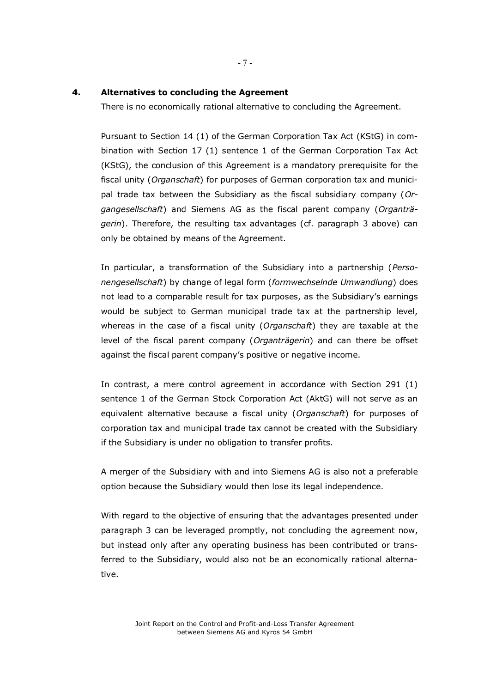#### **4. Alternatives to concluding the Agreement**

There is no economically rational alternative to concluding the Agreement.

Pursuant to Section 14 (1) of the German Corporation Tax Act (KStG) in combination with Section 17 (1) sentence 1 of the German Corporation Tax Act (KStG), the conclusion of this Agreement is a mandatory prerequisite for the fiscal unity (*Organschaft*) for purposes of German corporation tax and municipal trade tax between the Subsidiary as the fiscal subsidiary company (*Organgesellschaft*) and Siemens AG as the fiscal parent company (*Organträgerin*). Therefore, the resulting tax advantages (cf. paragraph 3 above) can only be obtained by means of the Agreement.

In particular, a transformation of the Subsidiary into a partnership (*Personengesellschaft*) by change of legal form (*formwechselnde Umwandlung*) does not lead to a comparable result for tax purposes, as the Subsidiary's earnings would be subject to German municipal trade tax at the partnership level, whereas in the case of a fiscal unity (*Organschaft*) they are taxable at the level of the fiscal parent company (*Organträgerin*) and can there be offset against the fiscal parent company's positive or negative income.

In contrast, a mere control agreement in accordance with Section 291 (1) sentence 1 of the German Stock Corporation Act (AktG) will not serve as an equivalent alternative because a fiscal unity (*Organschaft*) for purposes of corporation tax and municipal trade tax cannot be created with the Subsidiary if the Subsidiary is under no obligation to transfer profits.

A merger of the Subsidiary with and into Siemens AG is also not a preferable option because the Subsidiary would then lose its legal independence.

With regard to the objective of ensuring that the advantages presented under paragraph 3 can be leveraged promptly, not concluding the agreement now, but instead only after any operating business has been contributed or transferred to the Subsidiary, would also not be an economically rational alternative.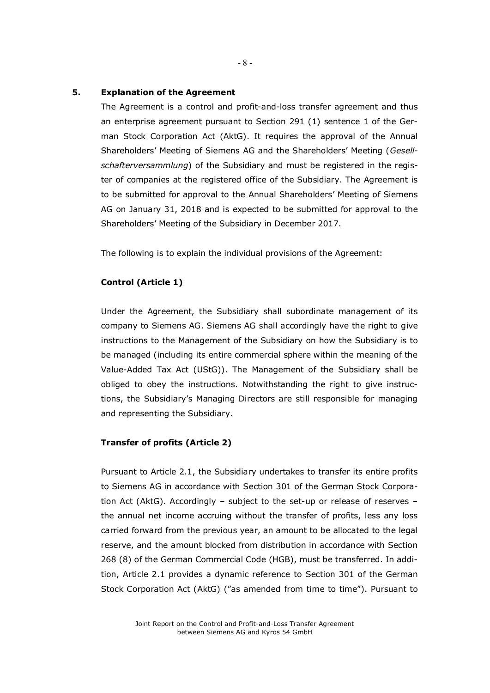#### **5. Explanation of the Agreement**

The Agreement is a control and profit-and-loss transfer agreement and thus an enterprise agreement pursuant to Section 291 (1) sentence 1 of the German Stock Corporation Act (AktG). It requires the approval of the Annual Shareholders' Meeting of Siemens AG and the Shareholders' Meeting (*Gesellschafterversammlung*) of the Subsidiary and must be registered in the register of companies at the registered office of the Subsidiary. The Agreement is to be submitted for approval to the Annual Shareholders' Meeting of Siemens AG on January 31, 2018 and is expected to be submitted for approval to the Shareholders' Meeting of the Subsidiary in December 2017.

The following is to explain the individual provisions of the Agreement:

#### **Control (Article 1)**

Under the Agreement, the Subsidiary shall subordinate management of its company to Siemens AG. Siemens AG shall accordingly have the right to give instructions to the Management of the Subsidiary on how the Subsidiary is to be managed (including its entire commercial sphere within the meaning of the Value-Added Tax Act (UStG)). The Management of the Subsidiary shall be obliged to obey the instructions. Notwithstanding the right to give instructions, the Subsidiary's Managing Directors are still responsible for managing and representing the Subsidiary.

#### **Transfer of profits (Article 2)**

Pursuant to Article 2.1, the Subsidiary undertakes to transfer its entire profits to Siemens AG in accordance with Section 301 of the German Stock Corporation Act (AktG). Accordingly – subject to the set-up or release of reserves – the annual net income accruing without the transfer of profits, less any loss carried forward from the previous year, an amount to be allocated to the legal reserve, and the amount blocked from distribution in accordance with Section 268 (8) of the German Commercial Code (HGB), must be transferred. In addition, Article 2.1 provides a dynamic reference to Section 301 of the German Stock Corporation Act (AktG) ("as amended from time to time"). Pursuant to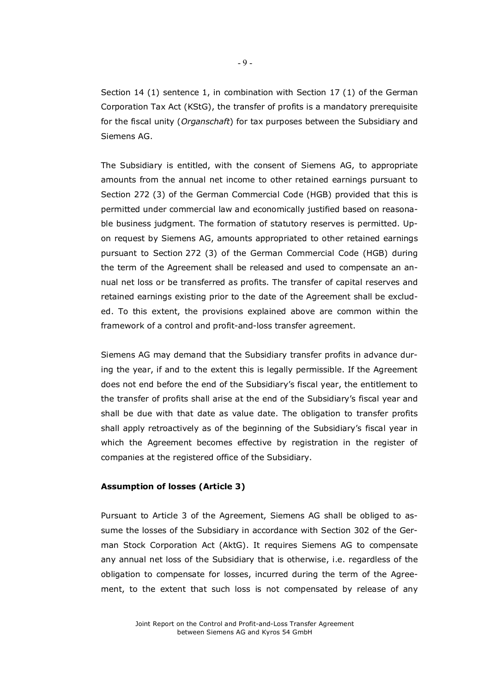Section 14 (1) sentence 1, in combination with Section 17 (1) of the German Corporation Tax Act (KStG), the transfer of profits is a mandatory prerequisite for the fiscal unity (*Organschaft*) for tax purposes between the Subsidiary and Siemens AG.

The Subsidiary is entitled, with the consent of Siemens AG, to appropriate amounts from the annual net income to other retained earnings pursuant to Section 272 (3) of the German Commercial Code (HGB) provided that this is permitted under commercial law and economically justified based on reasonable business judgment. The formation of statutory reserves is permitted. Upon request by Siemens AG, amounts appropriated to other retained earnings pursuant to Section 272 (3) of the German Commercial Code (HGB) during the term of the Agreement shall be released and used to compensate an annual net loss or be transferred as profits. The transfer of capital reserves and retained earnings existing prior to the date of the Agreement shall be excluded. To this extent, the provisions explained above are common within the framework of a control and profit-and-loss transfer agreement.

Siemens AG may demand that the Subsidiary transfer profits in advance during the year, if and to the extent this is legally permissible. If the Agreement does not end before the end of the Subsidiary's fiscal year, the entitlement to the transfer of profits shall arise at the end of the Subsidiary's fiscal year and shall be due with that date as value date. The obligation to transfer profits shall apply retroactively as of the beginning of the Subsidiary's fiscal year in which the Agreement becomes effective by registration in the register of companies at the registered office of the Subsidiary.

#### **Assumption of losses (Article 3)**

Pursuant to Article 3 of the Agreement, Siemens AG shall be obliged to assume the losses of the Subsidiary in accordance with Section 302 of the German Stock Corporation Act (AktG). It requires Siemens AG to compensate any annual net loss of the Subsidiary that is otherwise, i.e. regardless of the obligation to compensate for losses, incurred during the term of the Agreement, to the extent that such loss is not compensated by release of any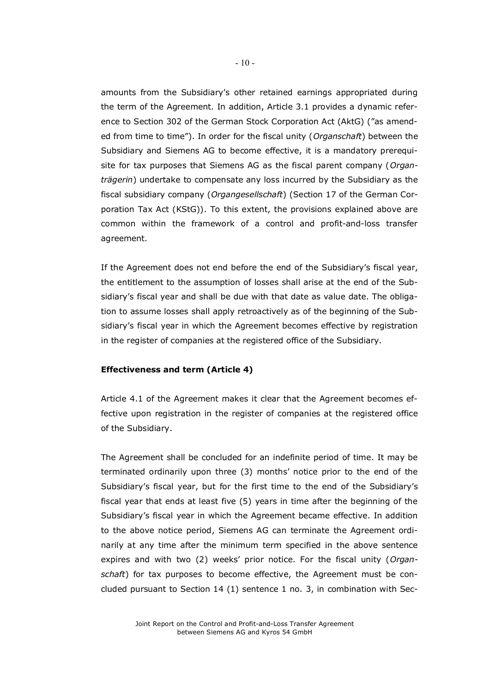amounts from the Subsidiary's other retained earnings appropriated during the term of the Agreement. In addition, Article 3.1 provides a dynamic reference to Section 302 of the German Stock Corporation Act (AktG) ("as amended from time to time"). In order for the fiscal unity (*Organschaft*) between the Subsidiary and Siemens AG to become effective, it is a mandatory prerequisite for tax purposes that Siemens AG as the fiscal parent company (*Organträgerin*) undertake to compensate any loss incurred by the Subsidiary as the fiscal subsidiary company (*Organgesellschaft*) (Section 17 of the German Corporation Tax Act (KStG)). To this extent, the provisions explained above are common within the framework of a control and profit-and-loss transfer agreement.

If the Agreement does not end before the end of the Subsidiary's fiscal year, the entitlement to the assumption of losses shall arise at the end of the Subsidiary's fiscal year and shall be due with that date as value date. The obligation to assume losses shall apply retroactively as of the beginning of the Subsidiary's fiscal year in which the Agreement becomes effective by registration in the register of companies at the registered office of the Subsidiary.

#### **Effectiveness and term (Article 4)**

Article 4.1 of the Agreement makes it clear that the Agreement becomes effective upon registration in the register of companies at the registered office of the Subsidiary.

The Agreement shall be concluded for an indefinite period of time. It may be terminated ordinarily upon three (3) months' notice prior to the end of the Subsidiary's fiscal year, but for the first time to the end of the Subsidiary's fiscal year that ends at least five (5) years in time after the beginning of the Subsidiary's fiscal year in which the Agreement became effective. In addition to the above notice period, Siemens AG can terminate the Agreement ordinarily at any time after the minimum term specified in the above sentence expires and with two (2) weeks' prior notice. For the fiscal unity (*Organschaft*) for tax purposes to become effective, the Agreement must be concluded pursuant to Section 14 (1) sentence 1 no. 3, in combination with Sec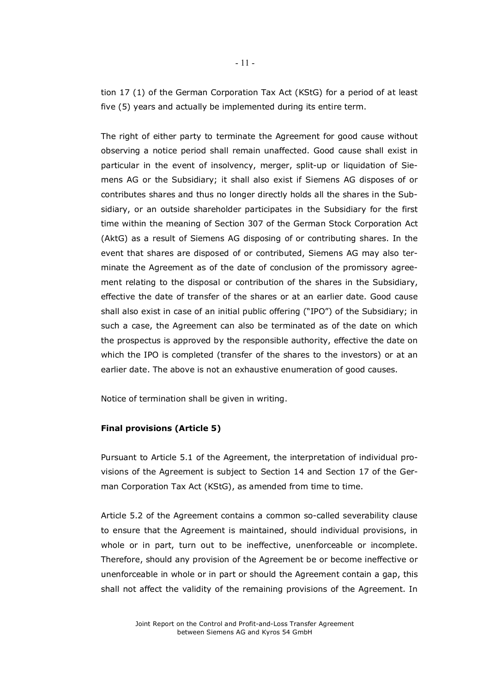tion 17 (1) of the German Corporation Tax Act (KStG) for a period of at least five (5) years and actually be implemented during its entire term.

The right of either party to terminate the Agreement for good cause without observing a notice period shall remain unaffected. Good cause shall exist in particular in the event of insolvency, merger, split-up or liquidation of Siemens AG or the Subsidiary; it shall also exist if Siemens AG disposes of or contributes shares and thus no longer directly holds all the shares in the Subsidiary, or an outside shareholder participates in the Subsidiary for the first time within the meaning of Section 307 of the German Stock Corporation Act (AktG) as a result of Siemens AG disposing of or contributing shares. In the event that shares are disposed of or contributed, Siemens AG may also terminate the Agreement as of the date of conclusion of the promissory agreement relating to the disposal or contribution of the shares in the Subsidiary, effective the date of transfer of the shares or at an earlier date. Good cause shall also exist in case of an initial public offering ("IPO") of the Subsidiary; in such a case, the Agreement can also be terminated as of the date on which the prospectus is approved by the responsible authority, effective the date on which the IPO is completed (transfer of the shares to the investors) or at an earlier date. The above is not an exhaustive enumeration of good causes.

Notice of termination shall be given in writing.

#### **Final provisions (Article 5)**

Pursuant to Article 5.1 of the Agreement, the interpretation of individual provisions of the Agreement is subject to Section 14 and Section 17 of the German Corporation Tax Act (KStG), as amended from time to time.

Article 5.2 of the Agreement contains a common so-called severability clause to ensure that the Agreement is maintained, should individual provisions, in whole or in part, turn out to be ineffective, unenforceable or incomplete. Therefore, should any provision of the Agreement be or become ineffective or unenforceable in whole or in part or should the Agreement contain a gap, this shall not affect the validity of the remaining provisions of the Agreement. In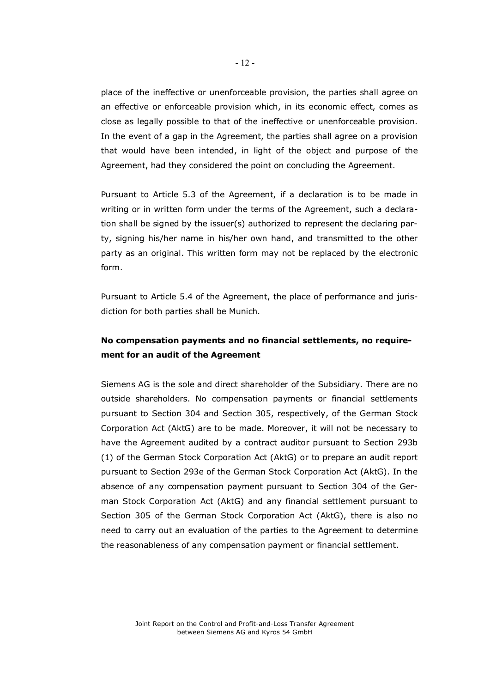place of the ineffective or unenforceable provision, the parties shall agree on an effective or enforceable provision which, in its economic effect, comes as close as legally possible to that of the ineffective or unenforceable provision. In the event of a gap in the Agreement, the parties shall agree on a provision that would have been intended, in light of the object and purpose of the Agreement, had they considered the point on concluding the Agreement.

Pursuant to Article 5.3 of the Agreement, if a declaration is to be made in writing or in written form under the terms of the Agreement, such a declaration shall be signed by the issuer(s) authorized to represent the declaring party, signing his/her name in his/her own hand, and transmitted to the other party as an original. This written form may not be replaced by the electronic form.

Pursuant to Article 5.4 of the Agreement, the place of performance and jurisdiction for both parties shall be Munich.

# **No compensation payments and no financial settlements, no requirement for an audit of the Agreement**

Siemens AG is the sole and direct shareholder of the Subsidiary. There are no outside shareholders. No compensation payments or financial settlements pursuant to Section 304 and Section 305, respectively, of the German Stock Corporation Act (AktG) are to be made. Moreover, it will not be necessary to have the Agreement audited by a contract auditor pursuant to Section 293b (1) of the German Stock Corporation Act (AktG) or to prepare an audit report pursuant to Section 293e of the German Stock Corporation Act (AktG). In the absence of any compensation payment pursuant to Section 304 of the German Stock Corporation Act (AktG) and any financial settlement pursuant to Section 305 of the German Stock Corporation Act (AktG), there is also no need to carry out an evaluation of the parties to the Agreement to determine the reasonableness of any compensation payment or financial settlement.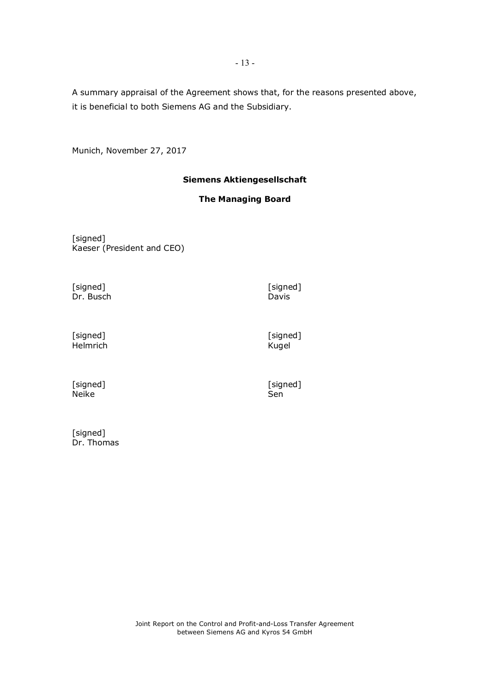A summary appraisal of the Agreement shows that, for the reasons presented above, it is beneficial to both Siemens AG and the Subsidiary.

Munich, November 27, 2017

# **Siemens Aktiengesellschaft**

## **The Managing Board**

[signed] Kaeser (President and CEO)

[signed] [signed] Dr. Busch

Davis

[signed] Helmrich [signed] Kugel

[signed] Neike

[signed]<br>Sen

[signed] Dr. Thomas

Joint Report on the Control and Profit-and-Loss Transfer Agreement between Siemens AG and Kyros 54 GmbH